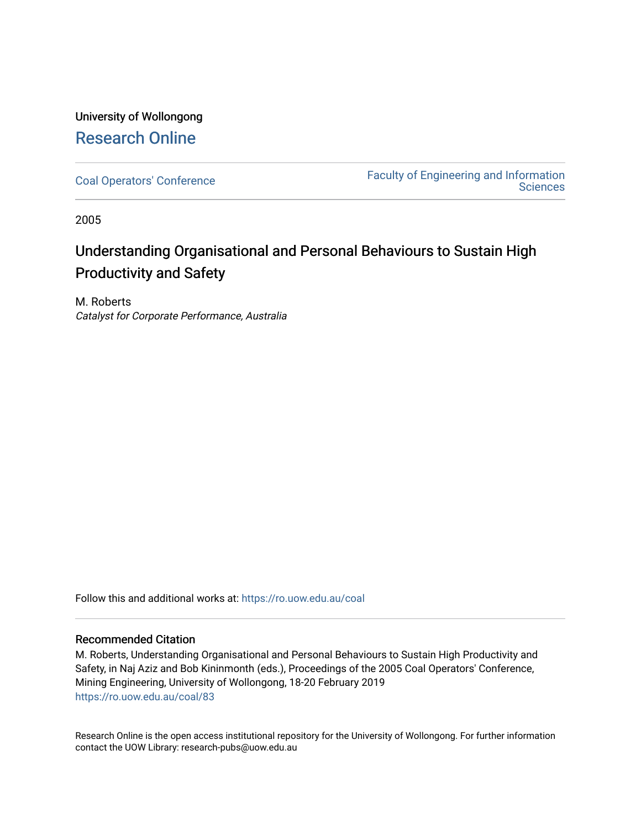# University of Wollongong [Research Online](https://ro.uow.edu.au/)

[Coal Operators' Conference](https://ro.uow.edu.au/coal) [Faculty of Engineering and Information](https://ro.uow.edu.au/eis)  **Sciences** 

2005

# Understanding Organisational and Personal Behaviours to Sustain High Productivity and Safety

M. Roberts Catalyst for Corporate Performance, Australia

Follow this and additional works at: [https://ro.uow.edu.au/coal](https://ro.uow.edu.au/coal?utm_source=ro.uow.edu.au%2Fcoal%2F83&utm_medium=PDF&utm_campaign=PDFCoverPages) 

# Recommended Citation

M. Roberts, Understanding Organisational and Personal Behaviours to Sustain High Productivity and Safety, in Naj Aziz and Bob Kininmonth (eds.), Proceedings of the 2005 Coal Operators' Conference, Mining Engineering, University of Wollongong, 18-20 February 2019 [https://ro.uow.edu.au/coal/83](https://ro.uow.edu.au/coal/83?utm_source=ro.uow.edu.au%2Fcoal%2F83&utm_medium=PDF&utm_campaign=PDFCoverPages) 

Research Online is the open access institutional repository for the University of Wollongong. For further information contact the UOW Library: research-pubs@uow.edu.au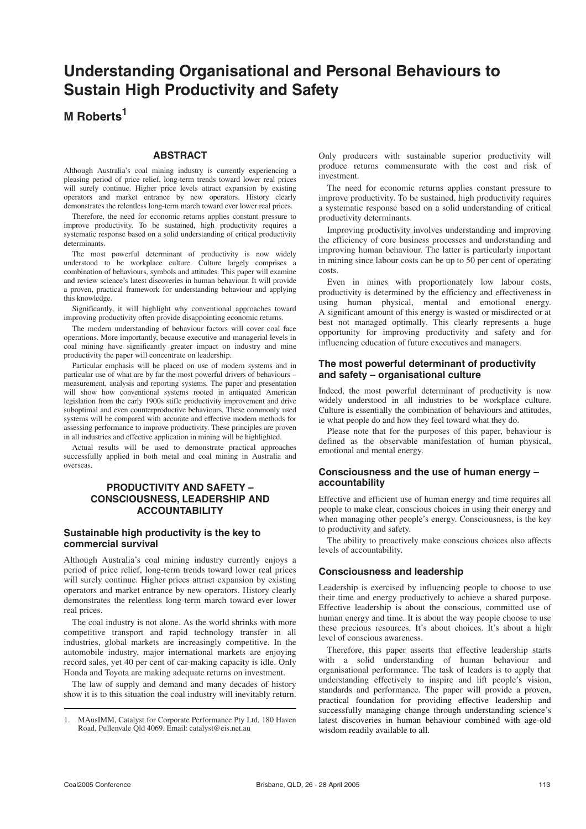# **Understanding Organisational and Personal Behaviours to Sustain High Productivity and Safety**

# **M Roberts<sup>1</sup>**

#### **ABSTRACT**

Although Australia's coal mining industry is currently experiencing a pleasing period of price relief, long-term trends toward lower real prices will surely continue. Higher price levels attract expansion by existing operators and market entrance by new operators. History clearly demonstrates the relentless long-term march toward ever lower real prices.

Therefore, the need for economic returns applies constant pressure to improve productivity. To be sustained, high productivity requires a systematic response based on a solid understanding of critical productivity determinants.

The most powerful determinant of productivity is now widely understood to be workplace culture. Culture largely comprises a combination of behaviours, symbols and attitudes. This paper will examine and review science's latest discoveries in human behaviour. It will provide a proven, practical framework for understanding behaviour and applying this knowledge.

Significantly, it will highlight why conventional approaches toward improving productivity often provide disappointing economic returns.

The modern understanding of behaviour factors will cover coal face operations. More importantly, because executive and managerial levels in coal mining have significantly greater impact on industry and mine productivity the paper will concentrate on leadership.

Particular emphasis will be placed on use of modern systems and in particular use of what are by far the most powerful drivers of behaviours – measurement, analysis and reporting systems. The paper and presentation will show how conventional systems rooted in antiquated American legislation from the early 1900s stifle productivity improvement and drive suboptimal and even counterproductive behaviours. These commonly used systems will be compared with accurate and effective modern methods for assessing performance to improve productivity. These principles are proven in all industries and effective application in mining will be highlighted.

Actual results will be used to demonstrate practical approaches successfully applied in both metal and coal mining in Australia and overseas.

# **PRODUCTIVITY AND SAFETY – CONSCIOUSNESS, LEADERSHIP AND ACCOUNTABILITY**

#### **Sustainable high productivity is the key to commercial survival**

Although Australia's coal mining industry currently enjoys a period of price relief, long-term trends toward lower real prices will surely continue. Higher prices attract expansion by existing operators and market entrance by new operators. History clearly demonstrates the relentless long-term march toward ever lower real prices.

The coal industry is not alone. As the world shrinks with more competitive transport and rapid technology transfer in all industries, global markets are increasingly competitive. In the automobile industry, major international markets are enjoying record sales, yet 40 per cent of car-making capacity is idle. Only Honda and Toyota are making adequate returns on investment.

The law of supply and demand and many decades of history show it is to this situation the coal industry will inevitably return. Only producers with sustainable superior productivity will produce returns commensurate with the cost and risk of investment.

The need for economic returns applies constant pressure to improve productivity. To be sustained, high productivity requires a systematic response based on a solid understanding of critical productivity determinants.

Improving productivity involves understanding and improving the efficiency of core business processes and understanding and improving human behaviour. The latter is particularly important in mining since labour costs can be up to  $50$  per cent of operating costs.

Even in mines with proportionately low labour costs, productivity is determined by the efficiency and effectiveness in using human physical, mental and emotional energy. A significant amount of this energy is wasted or misdirected or at best not managed optimally. This clearly represents a huge opportunity for improving productivity and safety and for influencing education of future executives and managers.

#### **The most powerful determinant of productivity and safety – organisational culture**

Indeed, the most powerful determinant of productivity is now widely understood in all industries to be workplace culture. Culture is essentially the combination of behaviours and attitudes, ie what people do and how they feel toward what they do.

Please note that for the purposes of this paper, behaviour is defined as the observable manifestation of human physical, emotional and mental energy.

#### **Consciousness and the use of human energy – accountability**

Effective and efficient use of human energy and time requires all people to make clear, conscious choices in using their energy and when managing other people's energy. Consciousness, is the key to productivity and safety.

The ability to proactively make conscious choices also affects levels of accountability.

#### **Consciousness and leadership**

Leadership is exercised by influencing people to choose to use their time and energy productively to achieve a shared purpose. Effective leadership is about the conscious, committed use of human energy and time. It is about the way people choose to use these precious resources. It's about choices. It's about a high level of conscious awareness.

Therefore, this paper asserts that effective leadership starts with a solid understanding of human behaviour and organisational performance. The task of leaders is to apply that understanding effectively to inspire and lift people's vision, standards and performance. The paper will provide a proven, practical foundation for providing effective leadership and successfully managing change through understanding science's latest discoveries in human behaviour combined with age-old wisdom readily available to all.

<sup>1.</sup> MAusIMM, Catalyst for Corporate Performance Pty Ltd, 180 Haven Road, Pullenvale Qld 4069. Email: catalyst@eis.net.au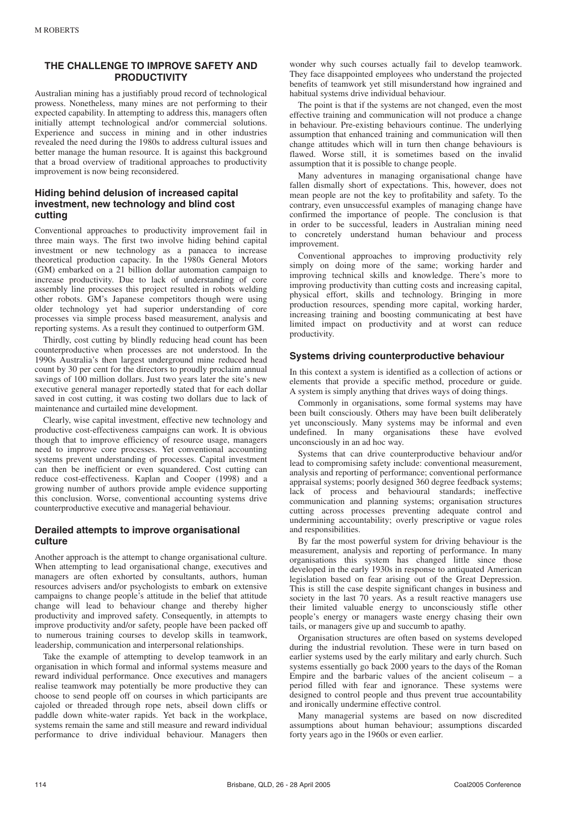# **THE CHALLENGE TO IMPROVE SAFETY AND PRODUCTIVITY**

Australian mining has a justifiably proud record of technological prowess. Nonetheless, many mines are not performing to their expected capability. In attempting to address this, managers often initially attempt technological and/or commercial solutions. Experience and success in mining and in other industries revealed the need during the 1980s to address cultural issues and better manage the human resource. It is against this background that a broad overview of traditional approaches to productivity improvement is now being reconsidered.

# **Hiding behind delusion of increased capital investment, new technology and blind cost cutting**

Conventional approaches to productivity improvement fail in three main ways. The first two involve hiding behind capital investment or new technology as a panacea to increase theoretical production capacity. In the 1980s General Motors (GM) embarked on a 21 billion dollar automation campaign to increase productivity. Due to lack of understanding of core assembly line processes this project resulted in robots welding other robots. GM's Japanese competitors though were using older technology yet had superior understanding of core processes via simple process based measurement, analysis and reporting systems. As a result they continued to outperform GM.

Thirdly, cost cutting by blindly reducing head count has been counterproductive when processes are not understood. In the 1990s Australia's then largest underground mine reduced head count by 30 per cent for the directors to proudly proclaim annual savings of 100 million dollars. Just two years later the site's new executive general manager reportedly stated that for each dollar saved in cost cutting, it was costing two dollars due to lack of maintenance and curtailed mine development.

Clearly, wise capital investment, effective new technology and productive cost-effectiveness campaigns can work. It is obvious though that to improve efficiency of resource usage, managers need to improve core processes. Yet conventional accounting systems prevent understanding of processes. Capital investment can then be inefficient or even squandered. Cost cutting can reduce cost-effectiveness. Kaplan and Cooper (1998) and a growing number of authors provide ample evidence supporting this conclusion. Worse, conventional accounting systems drive counterproductive executive and managerial behaviour.

#### **Derailed attempts to improve organisational culture**

Another approach is the attempt to change organisational culture. When attempting to lead organisational change, executives and managers are often exhorted by consultants, authors, human resources advisers and/or psychologists to embark on extensive campaigns to change people's attitude in the belief that attitude change will lead to behaviour change and thereby higher productivity and improved safety. Consequently, in attempts to improve productivity and/or safety, people have been packed off to numerous training courses to develop skills in teamwork, leadership, communication and interpersonal relationships.

Take the example of attempting to develop teamwork in an organisation in which formal and informal systems measure and reward individual performance. Once executives and managers realise teamwork may potentially be more productive they can choose to send people off on courses in which participants are cajoled or threaded through rope nets, abseil down cliffs or paddle down white-water rapids. Yet back in the workplace, systems remain the same and still measure and reward individual performance to drive individual behaviour. Managers then

wonder why such courses actually fail to develop teamwork. They face disappointed employees who understand the projected benefits of teamwork yet still misunderstand how ingrained and habitual systems drive individual behaviour.

The point is that if the systems are not changed, even the most effective training and communication will not produce a change in behaviour. Pre-existing behaviours continue. The underlying assumption that enhanced training and communication will then change attitudes which will in turn then change behaviours is flawed. Worse still, it is sometimes based on the invalid assumption that it is possible to change people.

Many adventures in managing organisational change have fallen dismally short of expectations. This, however, does not mean people are not the key to profitability and safety. To the contrary, even unsuccessful examples of managing change have confirmed the importance of people. The conclusion is that in order to be successful, leaders in Australian mining need to concretely understand human behaviour and process improvement.

Conventional approaches to improving productivity rely simply on doing more of the same; working harder and improving technical skills and knowledge. There's more to improving productivity than cutting costs and increasing capital, physical effort, skills and technology. Bringing in more production resources, spending more capital, working harder, increasing training and boosting communicating at best have limited impact on productivity and at worst can reduce productivity.

#### **Systems driving counterproductive behaviour**

In this context a system is identified as a collection of actions or elements that provide a specific method, procedure or guide. A system is simply anything that drives ways of doing things.

Commonly in organisations, some formal systems may have been built consciously. Others may have been built deliberately yet unconsciously. Many systems may be informal and even undefined. In many organisations these have evolved unconsciously in an ad hoc way.

Systems that can drive counterproductive behaviour and/or lead to compromising safety include: conventional measurement, analysis and reporting of performance; conventional performance appraisal systems; poorly designed 360 degree feedback systems; lack of process and behavioural standards; ineffective communication and planning systems; organisation structures cutting across processes preventing adequate control and undermining accountability; overly prescriptive or vague roles and responsibilities.

By far the most powerful system for driving behaviour is the measurement, analysis and reporting of performance. In many organisations this system has changed little since those developed in the early 1930s in response to antiquated American legislation based on fear arising out of the Great Depression. This is still the case despite significant changes in business and society in the last 70 years. As a result reactive managers use their limited valuable energy to unconsciously stifle other people's energy or managers waste energy chasing their own tails, or managers give up and succumb to apathy.

Organisation structures are often based on systems developed during the industrial revolution. These were in turn based on earlier systems used by the early military and early church. Such systems essentially go back 2000 years to the days of the Roman Empire and the barbaric values of the ancient coliseum – a period filled with fear and ignorance. These systems were designed to control people and thus prevent true accountability and ironically undermine effective control.

Many managerial systems are based on now discredited assumptions about human behaviour; assumptions discarded forty years ago in the 1960s or even earlier.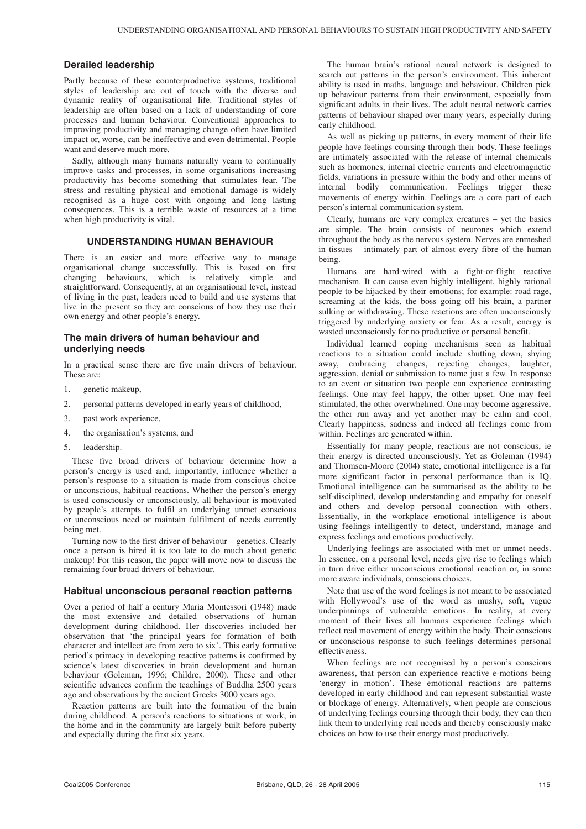#### **Derailed leadership**

Partly because of these counterproductive systems, traditional styles of leadership are out of touch with the diverse and dynamic reality of organisational life. Traditional styles of leadership are often based on a lack of understanding of core processes and human behaviour. Conventional approaches to improving productivity and managing change often have limited impact or, worse, can be ineffective and even detrimental. People want and deserve much more.

Sadly, although many humans naturally yearn to continually improve tasks and processes, in some organisations increasing productivity has become something that stimulates fear. The stress and resulting physical and emotional damage is widely recognised as a huge cost with ongoing and long lasting consequences. This is a terrible waste of resources at a time when high productivity is vital.

#### **UNDERSTANDING HUMAN BEHAVIOUR**

There is an easier and more effective way to manage organisational change successfully. This is based on first changing behaviours, which is relatively simple and straightforward. Consequently, at an organisational level, instead of living in the past, leaders need to build and use systems that live in the present so they are conscious of how they use their own energy and other people's energy.

#### **The main drivers of human behaviour and underlying needs**

In a practical sense there are five main drivers of behaviour. These are:

- 1. genetic makeup,
- 2. personal patterns developed in early years of childhood,
- 3. past work experience,
- 4. the organisation's systems, and
- 5. leadership.

These five broad drivers of behaviour determine how a person's energy is used and, importantly, influence whether a person's response to a situation is made from conscious choice or unconscious, habitual reactions. Whether the person's energy is used consciously or unconsciously, all behaviour is motivated by people's attempts to fulfil an underlying unmet conscious or unconscious need or maintain fulfilment of needs currently being met.

Turning now to the first driver of behaviour – genetics. Clearly once a person is hired it is too late to do much about genetic makeup! For this reason, the paper will move now to discuss the remaining four broad drivers of behaviour.

#### **Habitual unconscious personal reaction patterns**

Over a period of half a century Maria Montessori (1948) made the most extensive and detailed observations of human development during childhood. Her discoveries included her observation that 'the principal years for formation of both character and intellect are from zero to six'. This early formative period's primacy in developing reactive patterns is confirmed by science's latest discoveries in brain development and human behaviour (Goleman, 1996; Childre, 2000). These and other scientific advances confirm the teachings of Buddha 2500 years ago and observations by the ancient Greeks 3000 years ago.

Reaction patterns are built into the formation of the brain during childhood. A person's reactions to situations at work, in the home and in the community are largely built before puberty and especially during the first six years.

The human brain's rational neural network is designed to search out patterns in the person's environment. This inherent ability is used in maths, language and behaviour. Children pick up behaviour patterns from their environment, especially from significant adults in their lives. The adult neural network carries patterns of behaviour shaped over many years, especially during early childhood.

As well as picking up patterns, in every moment of their life people have feelings coursing through their body. These feelings are intimately associated with the release of internal chemicals such as hormones, internal electric currents and electromagnetic fields, variations in pressure within the body and other means of internal bodily communication. Feelings trigger these movements of energy within. Feelings are a core part of each person's internal communication system.

Clearly, humans are very complex creatures – yet the basics are simple. The brain consists of neurones which extend throughout the body as the nervous system. Nerves are enmeshed in tissues – intimately part of almost every fibre of the human being.

Humans are hard-wired with a fight-or-flight reactive mechanism. It can cause even highly intelligent, highly rational people to be hijacked by their emotions; for example: road rage, screaming at the kids, the boss going off his brain, a partner sulking or withdrawing. These reactions are often unconsciously triggered by underlying anxiety or fear. As a result, energy is wasted unconsciously for no productive or personal benefit.

Individual learned coping mechanisms seen as habitual reactions to a situation could include shutting down, shying away, embracing changes, rejecting changes, laughter, aggression, denial or submission to name just a few. In response to an event or situation two people can experience contrasting feelings. One may feel happy, the other upset. One may feel stimulated, the other overwhelmed. One may become aggressive, the other run away and yet another may be calm and cool. Clearly happiness, sadness and indeed all feelings come from within. Feelings are generated within.

Essentially for many people, reactions are not conscious, ie their energy is directed unconsciously. Yet as Goleman (1994) and Thomsen-Moore (2004) state, emotional intelligence is a far more significant factor in personal performance than is IQ. Emotional intelligence can be summarised as the ability to be self-disciplined, develop understanding and empathy for oneself and others and develop personal connection with others. Essentially, in the workplace emotional intelligence is about using feelings intelligently to detect, understand, manage and express feelings and emotions productively.

Underlying feelings are associated with met or unmet needs. In essence, on a personal level, needs give rise to feelings which in turn drive either unconscious emotional reaction or, in some more aware individuals, conscious choices.

Note that use of the word feelings is not meant to be associated with Hollywood's use of the word as mushy, soft, vague underpinnings of vulnerable emotions. In reality, at every moment of their lives all humans experience feelings which reflect real movement of energy within the body. Their conscious or unconscious response to such feelings determines personal effectiveness.

When feelings are not recognised by a person's conscious awareness, that person can experience reactive e-motions being 'energy in motion'. These emotional reactions are patterns developed in early childhood and can represent substantial waste or blockage of energy. Alternatively, when people are conscious of underlying feelings coursing through their body, they can then link them to underlying real needs and thereby consciously make choices on how to use their energy most productively.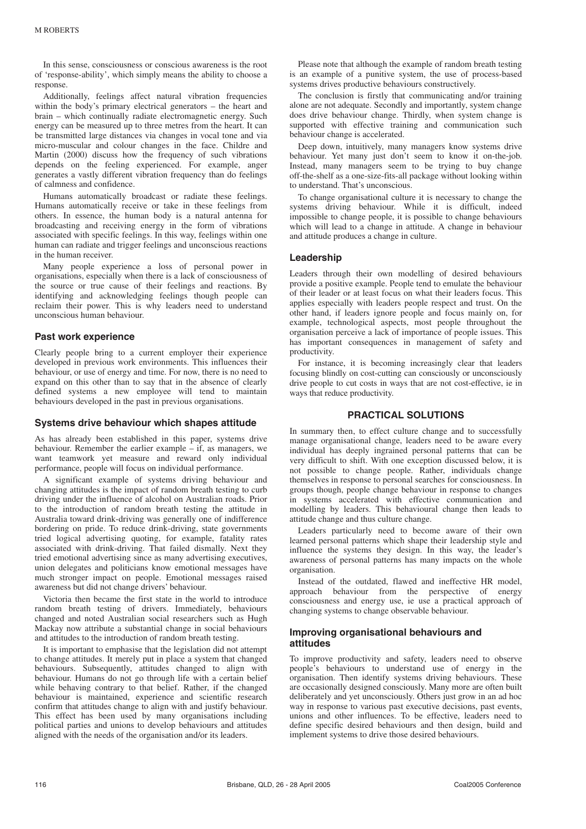In this sense, consciousness or conscious awareness is the root of 'response-ability', which simply means the ability to choose a response.

Additionally, feelings affect natural vibration frequencies within the body's primary electrical generators – the heart and brain – which continually radiate electromagnetic energy. Such energy can be measured up to three metres from the heart. It can be transmitted large distances via changes in vocal tone and via micro-muscular and colour changes in the face. Childre and Martin (2000) discuss how the frequency of such vibrations depends on the feeling experienced. For example, anger generates a vastly different vibration frequency than do feelings of calmness and confidence.

Humans automatically broadcast or radiate these feelings. Humans automatically receive or take in these feelings from others. In essence, the human body is a natural antenna for broadcasting and receiving energy in the form of vibrations associated with specific feelings. In this way, feelings within one human can radiate and trigger feelings and unconscious reactions in the human receiver.

Many people experience a loss of personal power in organisations, especially when there is a lack of consciousness of the source or true cause of their feelings and reactions. By identifying and acknowledging feelings though people can reclaim their power. This is why leaders need to understand unconscious human behaviour.

#### **Past work experience**

Clearly people bring to a current employer their experience developed in previous work environments. This influences their behaviour, or use of energy and time. For now, there is no need to expand on this other than to say that in the absence of clearly defined systems a new employee will tend to maintain behaviours developed in the past in previous organisations.

#### **Systems drive behaviour which shapes attitude**

As has already been established in this paper, systems drive behaviour. Remember the earlier example – if, as managers, we want teamwork yet measure and reward only individual performance, people will focus on individual performance.

A significant example of systems driving behaviour and changing attitudes is the impact of random breath testing to curb driving under the influence of alcohol on Australian roads. Prior to the introduction of random breath testing the attitude in Australia toward drink-driving was generally one of indifference bordering on pride. To reduce drink-driving, state governments tried logical advertising quoting, for example, fatality rates associated with drink-driving. That failed dismally. Next they tried emotional advertising since as many advertising executives, union delegates and politicians know emotional messages have much stronger impact on people. Emotional messages raised awareness but did not change drivers' behaviour.

Victoria then became the first state in the world to introduce random breath testing of drivers. Immediately, behaviours changed and noted Australian social researchers such as Hugh Mackay now attribute a substantial change in social behaviours and attitudes to the introduction of random breath testing.

It is important to emphasise that the legislation did not attempt to change attitudes. It merely put in place a system that changed behaviours. Subsequently, attitudes changed to align with behaviour. Humans do not go through life with a certain belief while behaving contrary to that belief. Rather, if the changed behaviour is maintained, experience and scientific research confirm that attitudes change to align with and justify behaviour. This effect has been used by many organisations including political parties and unions to develop behaviours and attitudes aligned with the needs of the organisation and/or its leaders.

Please note that although the example of random breath testing is an example of a punitive system, the use of process-based systems drives productive behaviours constructively.

The conclusion is firstly that communicating and/or training alone are not adequate. Secondly and importantly, system change does drive behaviour change. Thirdly, when system change is supported with effective training and communication such behaviour change is accelerated.

Deep down, intuitively, many managers know systems drive behaviour. Yet many just don't seem to know it on-the-job. Instead, many managers seem to be trying to buy change off-the-shelf as a one-size-fits-all package without looking within to understand. That's unconscious.

To change organisational culture it is necessary to change the systems driving behaviour. While it is difficult, indeed impossible to change people, it is possible to change behaviours which will lead to a change in attitude. A change in behaviour and attitude produces a change in culture.

#### **Leadership**

Leaders through their own modelling of desired behaviours provide a positive example. People tend to emulate the behaviour of their leader or at least focus on what their leaders focus. This applies especially with leaders people respect and trust. On the other hand, if leaders ignore people and focus mainly on, for example, technological aspects, most people throughout the organisation perceive a lack of importance of people issues. This has important consequences in management of safety and productivity.

For instance, it is becoming increasingly clear that leaders focusing blindly on cost-cutting can consciously or unconsciously drive people to cut costs in ways that are not cost-effective, ie in ways that reduce productivity.

# **PRACTICAL SOLUTIONS**

In summary then, to effect culture change and to successfully manage organisational change, leaders need to be aware every individual has deeply ingrained personal patterns that can be very difficult to shift. With one exception discussed below, it is not possible to change people. Rather, individuals change themselves in response to personal searches for consciousness. In groups though, people change behaviour in response to changes in systems accelerated with effective communication and modelling by leaders. This behavioural change then leads to attitude change and thus culture change.

Leaders particularly need to become aware of their own learned personal patterns which shape their leadership style and influence the systems they design. In this way, the leader's awareness of personal patterns has many impacts on the whole organisation.

Instead of the outdated, flawed and ineffective HR model, approach behaviour from the perspective of energy consciousness and energy use, ie use a practical approach of changing systems to change observable behaviour.

#### **Improving organisational behaviours and attitudes**

To improve productivity and safety, leaders need to observe people's behaviours to understand use of energy in the organisation. Then identify systems driving behaviours. These are occasionally designed consciously. Many more are often built deliberately and yet unconsciously. Others just grow in an ad hoc way in response to various past executive decisions, past events, unions and other influences. To be effective, leaders need to define specific desired behaviours and then design, build and implement systems to drive those desired behaviours.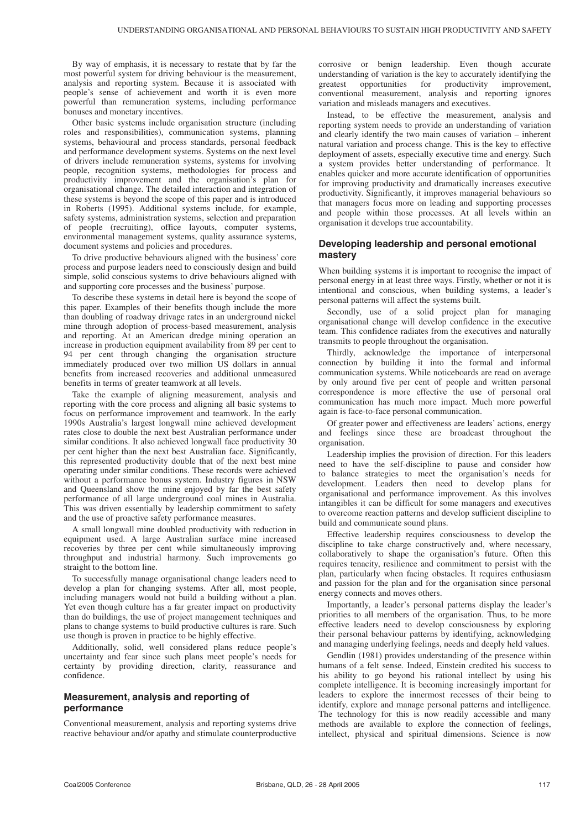By way of emphasis, it is necessary to restate that by far the most powerful system for driving behaviour is the measurement, analysis and reporting system. Because it is associated with people's sense of achievement and worth it is even more powerful than remuneration systems, including performance bonuses and monetary incentives.

Other basic systems include organisation structure (including roles and responsibilities), communication systems, planning systems, behavioural and process standards, personal feedback and performance development systems. Systems on the next level of drivers include remuneration systems, systems for involving people, recognition systems, methodologies for process and productivity improvement and the organisation's plan for organisational change. The detailed interaction and integration of these systems is beyond the scope of this paper and is introduced in Roberts (1995). Additional systems include, for example, safety systems, administration systems, selection and preparation of people (recruiting), office layouts, computer systems, environmental management systems, quality assurance systems, document systems and policies and procedures.

To drive productive behaviours aligned with the business' core process and purpose leaders need to consciously design and build simple, solid conscious systems to drive behaviours aligned with and supporting core processes and the business' purpose.

To describe these systems in detail here is beyond the scope of this paper. Examples of their benefits though include the more than doubling of roadway drivage rates in an underground nickel mine through adoption of process-based measurement, analysis and reporting. At an American dredge mining operation an increase in production equipment availability from 89 per cent to 94 per cent through changing the organisation structure immediately produced over two million US dollars in annual benefits from increased recoveries and additional unmeasured benefits in terms of greater teamwork at all levels.

Take the example of aligning measurement, analysis and reporting with the core process and aligning all basic systems to focus on performance improvement and teamwork. In the early 1990s Australia's largest longwall mine achieved development rates close to double the next best Australian performance under similar conditions. It also achieved longwall face productivity 30 per cent higher than the next best Australian face. Significantly, this represented productivity double that of the next best mine operating under similar conditions. These records were achieved without a performance bonus system. Industry figures in NSW and Queensland show the mine enjoyed by far the best safety performance of all large underground coal mines in Australia. This was driven essentially by leadership commitment to safety and the use of proactive safety performance measures.

A small longwall mine doubled productivity with reduction in equipment used. A large Australian surface mine increased recoveries by three per cent while simultaneously improving throughput and industrial harmony. Such improvements go straight to the bottom line.

To successfully manage organisational change leaders need to develop a plan for changing systems. After all, most people, including managers would not build a building without a plan. Yet even though culture has a far greater impact on productivity than do buildings, the use of project management techniques and plans to change systems to build productive cultures is rare. Such use though is proven in practice to be highly effective.

Additionally, solid, well considered plans reduce people's uncertainty and fear since such plans meet people's needs for certainty by providing direction, clarity, reassurance and confidence.

### **Measurement, analysis and reporting of performance**

Conventional measurement, analysis and reporting systems drive reactive behaviour and/or apathy and stimulate counterproductive corrosive or benign leadership. Even though accurate understanding of variation is the key to accurately identifying the greatest opportunities for productivity improvement, opportunities conventional measurement, analysis and reporting ignores variation and misleads managers and executives.

Instead, to be effective the measurement, analysis and reporting system needs to provide an understanding of variation and clearly identify the two main causes of variation – inherent natural variation and process change. This is the key to effective deployment of assets, especially executive time and energy. Such a system provides better understanding of performance. It enables quicker and more accurate identification of opportunities for improving productivity and dramatically increases executive productivity. Significantly, it improves managerial behaviours so that managers focus more on leading and supporting processes and people within those processes. At all levels within an organisation it develops true accountability.

### **Developing leadership and personal emotional mastery**

When building systems it is important to recognise the impact of personal energy in at least three ways. Firstly, whether or not it is intentional and conscious, when building systems, a leader's personal patterns will affect the systems built.

Secondly, use of a solid project plan for managing organisational change will develop confidence in the executive team. This confidence radiates from the executives and naturally transmits to people throughout the organisation.

Thirdly, acknowledge the importance of interpersonal connection by building it into the formal and informal communication systems. While noticeboards are read on average by only around five per cent of people and written personal correspondence is more effective the use of personal oral communication has much more impact. Much more powerful again is face-to-face personal communication.

Of greater power and effectiveness are leaders' actions, energy and feelings since these are broadcast throughout the organisation.

Leadership implies the provision of direction. For this leaders need to have the self-discipline to pause and consider how to balance strategies to meet the organisation's needs for development. Leaders then need to develop plans for organisational and performance improvement. As this involves intangibles it can be difficult for some managers and executives to overcome reaction patterns and develop sufficient discipline to build and communicate sound plans.

Effective leadership requires consciousness to develop the discipline to take charge constructively and, where necessary, collaboratively to shape the organisation's future. Often this requires tenacity, resilience and commitment to persist with the plan, particularly when facing obstacles. It requires enthusiasm and passion for the plan and for the organisation since personal energy connects and moves others.

Importantly, a leader's personal patterns display the leader's priorities to all members of the organisation. Thus, to be more effective leaders need to develop consciousness by exploring their personal behaviour patterns by identifying, acknowledging and managing underlying feelings, needs and deeply held values.

Gendlin (1981) provides understanding of the presence within humans of a felt sense. Indeed, Einstein credited his success to his ability to go beyond his rational intellect by using his complete intelligence. It is becoming increasingly important for leaders to explore the innermost recesses of their being to identify, explore and manage personal patterns and intelligence. The technology for this is now readily accessible and many methods are available to explore the connection of feelings, intellect, physical and spiritual dimensions. Science is now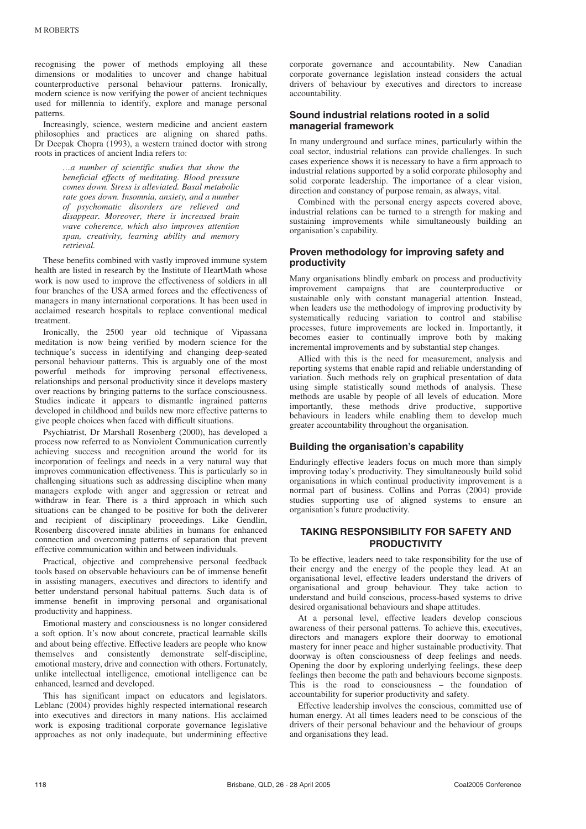recognising the power of methods employing all these dimensions or modalities to uncover and change habitual counterproductive personal behaviour patterns. Ironically, modern science is now verifying the power of ancient techniques used for millennia to identify, explore and manage personal patterns.

Increasingly, science, western medicine and ancient eastern philosophies and practices are aligning on shared paths. Dr Deepak Chopra (1993), a western trained doctor with strong roots in practices of ancient India refers to:

> *…a number of scientific studies that show the beneficial effects of meditating. Blood pressure comes down. Stress is alleviated. Basal metabolic rate goes down. Insomnia, anxiety, and a number of psychomatic disorders are relieved and disappear. Moreover, there is increased brain wave coherence, which also improves attention span, creativity, learning ability and memory retrieval.*

These benefits combined with vastly improved immune system health are listed in research by the Institute of HeartMath whose work is now used to improve the effectiveness of soldiers in all four branches of the USA armed forces and the effectiveness of managers in many international corporations. It has been used in acclaimed research hospitals to replace conventional medical treatment.

Ironically, the 2500 year old technique of Vipassana meditation is now being verified by modern science for the technique's success in identifying and changing deep-seated personal behaviour patterns. This is arguably one of the most powerful methods for improving personal effectiveness, relationships and personal productivity since it develops mastery over reactions by bringing patterns to the surface consciousness. Studies indicate it appears to dismantle ingrained patterns developed in childhood and builds new more effective patterns to give people choices when faced with difficult situations.

Psychiatrist, Dr Marshall Rosenberg (2000), has developed a process now referred to as Nonviolent Communication currently achieving success and recognition around the world for its incorporation of feelings and needs in a very natural way that improves communication effectiveness. This is particularly so in challenging situations such as addressing discipline when many managers explode with anger and aggression or retreat and withdraw in fear. There is a third approach in which such situations can be changed to be positive for both the deliverer and recipient of disciplinary proceedings. Like Gendlin, Rosenberg discovered innate abilities in humans for enhanced connection and overcoming patterns of separation that prevent effective communication within and between individuals.

Practical, objective and comprehensive personal feedback tools based on observable behaviours can be of immense benefit in assisting managers, executives and directors to identify and better understand personal habitual patterns. Such data is of immense benefit in improving personal and organisational productivity and happiness.

Emotional mastery and consciousness is no longer considered a soft option. It's now about concrete, practical learnable skills and about being effective. Effective leaders are people who know themselves and consistently demonstrate self-discipline, emotional mastery, drive and connection with others. Fortunately, unlike intellectual intelligence, emotional intelligence can be enhanced, learned and developed.

This has significant impact on educators and legislators. Leblanc (2004) provides highly respected international research into executives and directors in many nations. His acclaimed work is exposing traditional corporate governance legislative approaches as not only inadequate, but undermining effective

corporate governance and accountability. New Canadian corporate governance legislation instead considers the actual drivers of behaviour by executives and directors to increase accountability.

#### **Sound industrial relations rooted in a solid managerial framework**

In many underground and surface mines, particularly within the coal sector, industrial relations can provide challenges. In such cases experience shows it is necessary to have a firm approach to industrial relations supported by a solid corporate philosophy and solid corporate leadership. The importance of a clear vision, direction and constancy of purpose remain, as always, vital.

Combined with the personal energy aspects covered above, industrial relations can be turned to a strength for making and sustaining improvements while simultaneously building an organisation's capability.

# **Proven methodology for improving safety and productivity**

Many organisations blindly embark on process and productivity improvement campaigns that are counterproductive or sustainable only with constant managerial attention. Instead, when leaders use the methodology of improving productivity by systematically reducing variation to control and stabilise processes, future improvements are locked in. Importantly, it becomes easier to continually improve both by making incremental improvements and by substantial step changes.

Allied with this is the need for measurement, analysis and reporting systems that enable rapid and reliable understanding of variation. Such methods rely on graphical presentation of data using simple statistically sound methods of analysis. These methods are usable by people of all levels of education. More importantly, these methods drive productive, supportive behaviours in leaders while enabling them to develop much greater accountability throughout the organisation.

#### **Building the organisation's capability**

Enduringly effective leaders focus on much more than simply improving today's productivity. They simultaneously build solid organisations in which continual productivity improvement is a normal part of business. Collins and Porras (2004) provide studies supporting use of aligned systems to ensure an organisation's future productivity.

# **TAKING RESPONSIBILITY FOR SAFETY AND PRODUCTIVITY**

To be effective, leaders need to take responsibility for the use of their energy and the energy of the people they lead. At an organisational level, effective leaders understand the drivers of organisational and group behaviour. They take action to understand and build conscious, process-based systems to drive desired organisational behaviours and shape attitudes.

At a personal level, effective leaders develop conscious awareness of their personal patterns. To achieve this, executives, directors and managers explore their doorway to emotional mastery for inner peace and higher sustainable productivity. That doorway is often consciousness of deep feelings and needs. Opening the door by exploring underlying feelings, these deep feelings then become the path and behaviours become signposts. This is the road to consciousness – the foundation of accountability for superior productivity and safety.

Effective leadership involves the conscious, committed use of human energy. At all times leaders need to be conscious of the drivers of their personal behaviour and the behaviour of groups and organisations they lead.